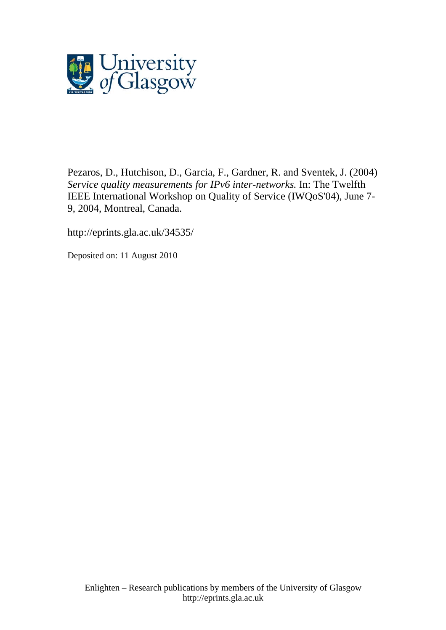

[Pezaros, D.](http://eprints.gla.ac.uk/view/author/5079.html), Hutchison, D., Garcia, F., Gardner, R. and Sventek, J. (2004) *Service quality measurements for IPv6 inter-networks.* In: The Twelfth IEEE International Workshop on Quality of Service (IWQoS'04), June 7- 9, 2004, Montreal, Canada.

http://eprints.gla.ac.uk/34535/

Deposited on: 11 August 2010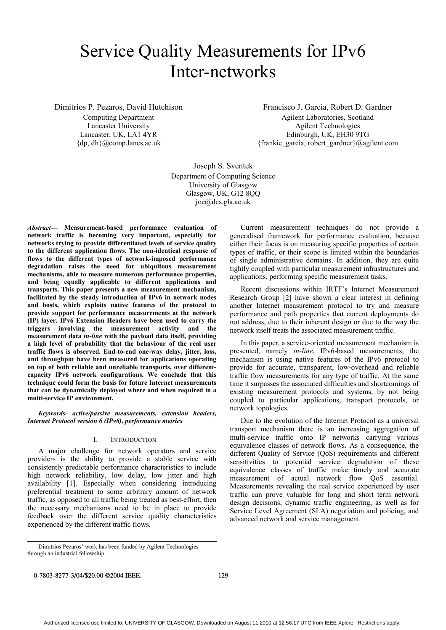# Service Quality Measurements for IPv6 Inter-networks

Dimitrios P. Pezaros, David Hutchison

Computing Department Lancaster University Lancaster, UK, LA1 4YR  ${dp, dh}$ @comp.lancs.ac.uk Francisco J. Garcia, Robert D. Gardner

Agilent Laboratories, Scotland Agilent Technologies Edinburgh, UK, EH30 9TG {frankie\_garcia, robert\_gardner}@agilent.com

Joseph S. Sventek Department of Computing Science University of Glasgow Glasgow, UK, G12 8QQ joe@dcs.gla.ac.uk

*Abstract***— Measurement-based performance evaluation of network traffic is becoming very important, especially for networks trying to provide differentiated levels of service quality to the different application flows. The non-identical response of flows to the different types of network-imposed performance degradation raises the need for ubiquitous measurement mechanisms, able to measure numerous performance properties, and being equally applicable to different applications and transports. This paper presents a new measurement mechanism, facilitated by the steady introduction of IPv6 in network nodes and hosts, which exploits native features of the protocol to provide support for performance measurements at the network (IP) layer. IPv6 Extension Headers have been used to carry the triggers involving the measurement activity and the measurement data** *in-line* **with the payload data itself, providing a high level of probability that the behaviour of the real user traffic flows is observed. End-to-end one-way delay, jitter, loss, and throughput have been measured for applications operating on top of both reliable and unreliable transports, over differentcapacity IPv6 network configurations. We conclude that this technique could form the basis for future Internet measurements that can be dynamically deployed where and when required in a multi-service IP environment.** 

*Keywords- active/passive measurements, extension headers, Internet Protocol version 6 (IPv6), performance metrics* 

# I. INTRODUCTION

A major challenge for network operators and service providers is the ability to provide a stable service with consistently predictable performance characteristics to include high network reliability, low delay, low jitter and high availability [1]. Especially when considering introducing preferential treatment to some arbitrary amount of network traffic, as opposed to all traffic being treated as best-effort, then the necessary mechanisms need to be in place to provide feedback over the different service quality characteristics experienced by the different traffic flows.

Current measurement techniques do not provide a generalised framework for performance evaluation, because either their focus is on measuring specific properties of certain types of traffic, or their scope is limited within the boundaries of single administrative domains. In addition, they are quite tightly coupled with particular measurement infrastructures and applications, performing specific measurement tasks.

Recent discussions within IRTF's Internet Measurement Research Group [2] have shown a clear interest in defining another Internet measurement protocol to try and measure performance and path properties that current deployments do not address, due to their inherent design or due to the way the network itself treats the associated measurement traffic.

In this paper, a service-oriented measurement mechanism is presented, namely *in-line*, IPv6-based measurements; the mechanism is using native features of the IPv6 protocol to provide for accurate, transparent, low-overhead and reliable traffic flow measurements for any type of traffic. At the same time it surpasses the associated difficulties and shortcomings of existing measurement protocols and systems, by not being coupled to particular applications, transport protocols, or network topologies.

Due to the evolution of the Internet Protocol as a universal transport mechanism there is an increasing aggregation of multi-service traffic onto IP networks carrying various equivalence classes of network flows. As a consequence, the different Quality of Service (QoS) requirements and different sensitivities to potential service degradation of these equivalence classes of traffic make timely and accurate measurement of actual network flow QoS essential. Measurements revealing the real service experienced by user traffic can prove valuable for long and short term network design decisions, dynamic traffic engineering, as well as for Service Level Agreement (SLA) negotiation and policing, and advanced network and service management.

Dimitrios Pezaros' work has been funded by Agilent Technologies through an industrial fellowship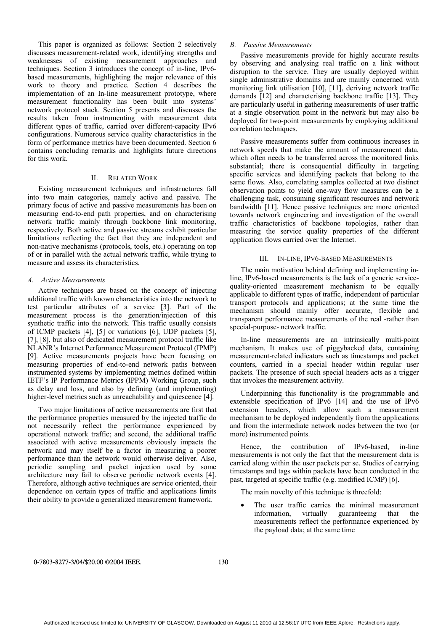This paper is organized as follows: Section 2 selectively discusses measurement-related work, identifying strengths and weaknesses of existing measurement approaches and techniques. Section 3 introduces the concept of in-line, IPv6 based measurements, highlighting the major relevance of this work to theory and practice. Section 4 describes the implementation of an In-line measurement prototype, where measurement functionality has been built into systems' network protocol stack. Section 5 presents and discusses the results taken from instrumenting with measurement data different types of traffic, carried over different-capacity IPv6 configurations. Numerous service quality characteristics in the form of performance metrics have been documented. Section 6 contains concluding remarks and highlights future directions for this work.

## II. RELATED WORK

Existing measurement techniques and infrastructures fall into two main categories, namely active and passive. The primary focus of active and passive measurements has been on measuring end-to-end path properties, and on characterising network traffic mainly through backbone link monitoring, respectively. Both active and passive streams exhibit particular limitations reflecting the fact that they are independent and non-native mechanisms (protocols, tools, etc.) operating on top of or in parallel with the actual network traffic, while trying to measure and assess its characteristics.

## *A. Active Measurements*

Active techniques are based on the concept of injecting additional traffic with known characteristics into the network to test particular attributes of a service [3]. Part of the measurement process is the generation/injection of this synthetic traffic into the network. This traffic usually consists of ICMP packets [4], [5] or variations [6], UDP packets [5], [7], [8], but also of dedicated measurement protocol traffic like NLANR's Internet Performance Measurement Protocol (IPMP) [9]. Active measurements projects have been focusing on measuring properties of end-to-end network paths between instrumented systems by implementing metrics defined within IETF's IP Performance Metrics (IPPM) Working Group, such as delay and loss, and also by defining (and implementing) higher-level metrics such as unreachability and quiescence [4].

Two major limitations of active measurements are first that the performance properties measured by the injected traffic do not necessarily reflect the performance experienced by operational network traffic; and second, the additional traffic associated with active measurements obviously impacts the network and may itself be a factor in measuring a poorer performance than the network would otherwise deliver. Also, periodic sampling and packet injection used by some architecture may fail to observe periodic network events [4]. Therefore, although active techniques are service oriented, their dependence on certain types of traffic and applications limits their ability to provide a generalized measurement framework.

# *B. Passive Measurements*

Passive measurements provide for highly accurate results by observing and analysing real traffic on a link without disruption to the service. They are usually deployed within single administrative domains and are mainly concerned with monitoring link utilisation [10], [11], deriving network traffic demands [12] and characterising backbone traffic [13]. They are particularly useful in gathering measurements of user traffic at a single observation point in the network but may also be deployed for two-point measurements by employing additional correlation techniques.

Passive measurements suffer from continuous increases in network speeds that make the amount of measurement data, which often needs to be transferred across the monitored links substantial; there is consequential difficulty in targeting specific services and identifying packets that belong to the same flows. Also, correlating samples collected at two distinct observation points to yield one-way flow measures can be a challenging task, consuming significant resources and network bandwidth [11]. Hence passive techniques are more oriented towards network engineering and investigation of the overall traffic characteristics of backbone topologies, rather than measuring the service quality properties of the different application flows carried over the Internet.

# III. IN-LINE, IPV6-BASED MEASUREMENTS

The main motivation behind defining and implementing inline, IPv6-based measurements is the lack of a generic servicequality-oriented measurement mechanism to be equally applicable to different types of traffic, independent of particular transport protocols and applications; at the same time the mechanism should mainly offer accurate, flexible and transparent performance measurements of the real -rather than special-purpose- network traffic.

In-line measurements are an intrinsically multi-point mechanism. It makes use of piggybacked data, containing measurement-related indicators such as timestamps and packet counters, carried in a special header within regular user packets. The presence of such special headers acts as a trigger that invokes the measurement activity.

Underpinning this functionality is the programmable and extensible specification of IPv6 [14] and the use of IPv6 extension headers, which allow such a measurement mechanism to be deployed independently from the applications and from the intermediate network nodes between the two (or more) instrumented points.

Hence, the contribution of IPv6-based, in-line measurements is not only the fact that the measurement data is carried along within the user packets per se. Studies of carrying timestamps and tags within packets have been conducted in the past, targeted at specific traffic (e.g. modified ICMP) [6].

The main novelty of this technique is threefold:

The user traffic carries the minimal measurement information, virtually guaranteeing that the measurements reflect the performance experienced by the payload data; at the same time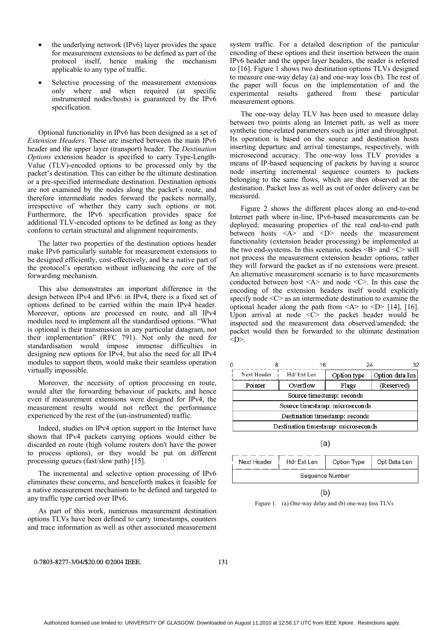- the underlying network (IPv6) layer provides the space for measurement extensions to be defined as part of the protocol itself, hence making the mechanism applicable to any type of traffic.
- Selective processing of the measurement extensions only where and when required (at specific instrumented nodes/hosts) is guaranteed by the IPv6 specification.

Optional functionality in IPv6 has been designed as a set of *Extension Headers*. These are inserted between the main IPv6 header and the upper layer (transport) header. The *Destination Options* extension header is specified to carry Type-Length-Value (TLV)-encoded options to be processed only by the packet's destination. This can either be the ultimate destination or a pre-specified intermediate destination. Destination options are not examined by the nodes along the packet's route, and therefore intermediate nodes forward the packets normally, irrespective of whether they carry such options or not. Furthermore, the IPv6 specification provides space for additional TLV-encoded options to be defined as long as they conform to certain structural and alignment requirements.

The latter two properties of the destination options header make IPv6 particularly suitable for measurement extensions to be designed efficiently, cost-effectively, and be a native part of the protocol's operation without influencing the core of the forwarding mechanism.

This also demonstrates an important difference in the design between IPv4 and IPv6: in IPv4, there is a fixed set of options defined to be carried within the main IPv4 header. Moreover, options are processed en route, and all IPv4 modules need to implement all the standardised options. "What is optional is their transmission in any particular datagram, not their implementation" (RFC 791). Not only the need for standardisation would impose immense difficulties in designing new options for IPv4, but also the need for all IPv4 modules to support them, would make their seamless operation virtually impossible.

Moreover, the necessity of option processing en route, would alter the forwarding behaviour of packets, and hence even if measurement extensions were designed for IPv4, the measurement results would not reflect the performance experienced by the rest of the (un-instrumented) traffic.

Indeed, studies on IPv4 option support in the Internet have shown that IPv4 packets carrying options would either be discarded en route (high volume routers don't have the power to process options), or they would be put on different processing queues (fast/slow path) [15].

The incremental and selective option processing of IPv6 eliminates these concerns, and henceforth makes it feasible for a native measurement mechanism to be defined and targeted to any traffic type carried over IPv6.

As part of this work, numerous measurement destination options TLVs have been defined to carry timestamps, counters and trace information as well as other associated measurement

system traffic. For a detailed description of the particular encoding of these options and their insertion between the main IPv6 header and the upper layer headers, the reader is referred to [16]. Figure 1 shows two destination options TLVs designed to measure one-way delay (a) and one-way loss (b). The rest of the paper will focus on the implementation of and the experimental results gathered from these particular measurement options.

The one-way delay TLV has been used to measure delay between two points along an Internet path, as well as more synthetic time-related parameters such as jitter and throughput. Its operation is based on the source and destination hosts inserting departure and arrival timestamps, respectively, with microsecond accuracy. The one-way loss TLV provides a means of IP-based sequencing of packets by having a source node inserting incremental sequence counters to packets belonging to the same flows, which are then observed at the destination. Packet loss as well as out of order delivery can be measured.

Figure 2 shows the different places along an end-to-end Internet path where in-line, IPv6-based measurements can be deployed; measuring properties of the real end-to-end path between hosts <A> and <D> needs the measurement functionality (extension header processing) be implemented at the two end-systems. In this scenario, nodes  $\langle B \rangle$  and  $\langle C \rangle$  will not process the measurement extension header options, rather they will forward the packet as if no extensions were present. An alternative measurement scenario is to have measurements conducted between host <A> and node <C>. In this case the encoding of the extension headers itself would explicitly specify node <C> as an intermediate destination to examine the optional header along the path from  $\langle A \rangle$  to  $\langle D \rangle$  [14], [16]. Upon arrival at node  $\langle C \rangle$  the packet header would be inspected and the measurement data observed/amended; the packet would then be forwarded to the ultimate destination  $<\!\!\n\overline{\phantom{1}}$ 

| 0 |                                     |             | 16          | 32              |  |
|---|-------------------------------------|-------------|-------------|-----------------|--|
|   | Next Header                         | Hdr Ext Len | Option type | Option data len |  |
|   | Pointer                             | Overflow    | Flags       | (Reserved)      |  |
|   | Source timestamp: seconds           |             |             |                 |  |
|   | Source timestamp: microseconds      |             |             |                 |  |
|   | Destination timestamp: seconds      |             |             |                 |  |
|   | Destination timestamp: microseconds |             |             |                 |  |

 $(a)$ 



Figure 1. (a) One-way delay and (b) one-way loss TLVs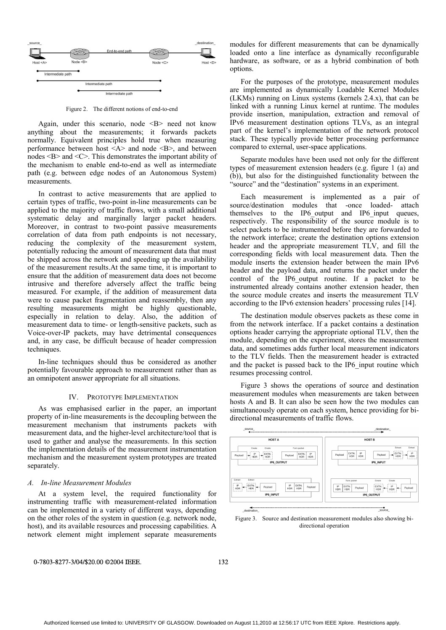

Figure 2. The different notions of end-to-end

Again, under this scenario, node  $\leq B$  need not know anything about the measurements; it forwards packets normally. Equivalent principles hold true when measuring performance between host  $\langle A \rangle$  and node  $\langle B \rangle$ , and between nodes <B> and <C>. This demonstrates the important ability of the mechanism to enable end-to-end as well as intermediate path (e.g. between edge nodes of an Autonomous System) measurements.

In contrast to active measurements that are applied to certain types of traffic, two-point in-line measurements can be applied to the majority of traffic flows, with a small additional systematic delay and marginally larger packet headers. Moreover, in contrast to two-point passive measurements correlation of data from path endpoints is not necessary, reducing the complexity of the measurement system, potentially reducing the amount of measurement data that must be shipped across the network and speeding up the availability of the measurement results.At the same time, it is important to ensure that the addition of measurement data does not become intrusive and therefore adversely affect the traffic being measured. For example, if the addition of measurement data were to cause packet fragmentation and reassembly, then any resulting measurements might be highly questionable, especially in relation to delay. Also, the addition of measurement data to time- or length-sensitive packets, such as Voice-over-IP packets, may have detrimental consequences and, in any case, be difficult because of header compression techniques.

In-line techniques should thus be considered as another potentially favourable approach to measurement rather than as an omnipotent answer appropriate for all situations.

#### IV. PROTOTYPE IMPLEMENTATION

As was emphasised earlier in the paper, an important property of in-line measurements is the decoupling between the measurement mechanism that instruments packets with measurement data, and the higher-level architecture/tool that is used to gather and analyse the measurements. In this section the implementation details of the measurement instrumentation mechanism and the measurement system prototypes are treated separately.

#### *A. In-line Measurement Modules*

At a system level, the required functionality for instrumenting traffic with measurement-related information can be implemented in a variety of different ways, depending on the other roles of the system in question (e.g. network node, host), and its available resources and processing capabilities. A network element might implement separate measurements

modules for different measurements that can be dynamically loaded onto a line interface as dynamically reconfigurable hardware, as software, or as a hybrid combination of both options.

For the purposes of the prototype, measurement modules are implemented as dynamically Loadable Kernel Modules (LKMs) running on Linux systems (kernels 2.4.x), that can be linked with a running Linux kernel at runtime. The modules provide insertion, manipulation, extraction and removal of IPv6 measurement destination options TLVs, as an integral part of the kernel's implementation of the network protocol stack. These typically provide better processing performance compared to external, user-space applications.

Separate modules have been used not only for the different types of measurement extension headers (e.g. figure 1 (a) and (b)), but also for the distinguished functionality between the "source" and the "destination" systems in an experiment.

Each measurement is implemented as a pair of source/destination modules that -once loaded- attach themselves to the IP6\_output and IP6\_input queues, respectively. The responsibility of the source module is to select packets to be instrumented before they are forwarded to the network interface; create the destination options extension header and the appropriate measurement TLV, and fill the corresponding fields with local measurement data. Then the module inserts the extension header between the main IPv6 header and the payload data, and returns the packet under the control of the IP6\_output routine. If a packet to be instrumented already contains another extension header, then the source module creates and inserts the measurement TLV according to the IPv6 extension headers' processing rules [14].

The destination module observes packets as these come in from the network interface. If a packet contains a destination options header carrying the appropriate optional TLV, then the module, depending on the experiment, stores the measurement data, and sometimes adds further local measurement indicators to the TLV fields. Then the measurement header is extracted and the packet is passed back to the IP6\_input routine which resumes processing control.

Figure 3 shows the operations of source and destination measurement modules when measurements are taken between hosts A and B. It can also be seen how the two modules can simultaneously operate on each system, hence providing for bidirectional measurements of traffic flows.



Figure 3. Source and destination measurement modules also showing bidirectional operation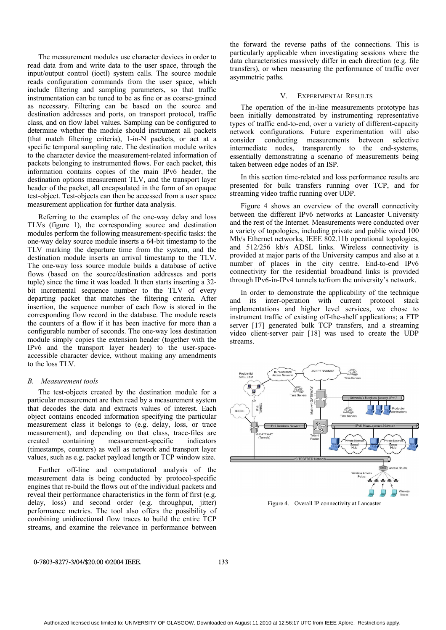The measurement modules use character devices in order to read data from and write data to the user space, through the input/output control (ioctl) system calls. The source module reads configuration commands from the user space, which include filtering and sampling parameters, so that traffic instrumentation can be tuned to be as fine or as coarse-grained as necessary. Filtering can be based on the source and destination addresses and ports, on transport protocol, traffic class, and on flow label values. Sampling can be configured to determine whether the module should instrument all packets (that match filtering criteria), 1-in-N packets, or act at a specific temporal sampling rate. The destination module writes to the character device the measurement-related information of packets belonging to instrumented flows. For each packet, this information contains copies of the main IPv6 header, the destination options measurement TLV, and the transport layer header of the packet, all encapsulated in the form of an opaque test-object. Test-objects can then be accessed from a user space measurement application for further data analysis.

Referring to the examples of the one-way delay and loss TLVs (figure 1), the corresponding source and destination modules perform the following measurement-specific tasks: the one-way delay source module inserts a 64-bit timestamp to the TLV marking the departure time from the system, and the destination module inserts an arrival timestamp to the TLV. The one-way loss source module builds a database of active flows (based on the source/destination addresses and ports tuple) since the time it was loaded. It then starts inserting a 32 bit incremental sequence number to the TLV of every departing packet that matches the filtering criteria. After insertion, the sequence number of each flow is stored in the corresponding flow record in the database. The module resets the counters of a flow if it has been inactive for more than a configurable number of seconds. The one-way loss destination module simply copies the extension header (together with the IPv6 and the transport layer header) to the user-spaceaccessible character device, without making any amendments to the loss TLV.

## *B. Measurement tools*

The test-objects created by the destination module for a particular measurement are then read by a measurement system that decodes the data and extracts values of interest. Each object contains encoded information specifying the particular measurement class it belongs to (e.g. delay, loss, or trace measurement), and depending on that class, trace-files are created containing measurement-specific indicators (timestamps, counters) as well as network and transport layer values, such as e.g. packet payload length or TCP window size.

Further off-line and computational analysis of the measurement data is being conducted by protocol-specific engines that re-build the flows out of the individual packets and reveal their performance characteristics in the form of first (e.g. delay, loss) and second order (e.g. throughput, jitter) performance metrics. The tool also offers the possibility of combining unidirectional flow traces to build the entire TCP streams, and examine the relevance in performance between

the forward the reverse paths of the connections. This is particularly applicable when investigating sessions where the data characteristics massively differ in each direction (e.g. file transfers), or when measuring the performance of traffic over asymmetric paths.

## V. EXPERIMENTAL RESULTS

The operation of the in-line measurements prototype has been initially demonstrated by instrumenting representative types of traffic end-to-end, over a variety of different-capacity network configurations. Future experimentation will also consider conducting measurements between selective intermediate nodes, transparently to the end-systems, essentially demonstrating a scenario of measurements being taken between edge nodes of an ISP.

In this section time-related and loss performance results are presented for bulk transfers running over TCP, and for streaming video traffic running over UDP.

Figure 4 shows an overview of the overall connectivity between the different IPv6 networks at Lancaster University and the rest of the Internet. Measurements were conducted over a variety of topologies, including private and public wired 100 Mb/s Ethernet networks, IEEE 802.11b operational topologies, and 512/256 kb/s ADSL links. Wireless connectivity is provided at major parts of the University campus and also at a number of places in the city centre. End-to-end IPv6 connectivity for the residential broadband links is provided through IPv6-in-IPv4 tunnels to/from the university's network.

In order to demonstrate the applicability of the technique and its inter-operation with current protocol stack implementations and higher level services, we chose to instrument traffic of existing off-the-shelf applications; a FTP server [17] generated bulk TCP transfers, and a streaming video client-server pair [18] was used to create the UDP streams.



Figure 4. Overall IP connectivity at Lancaster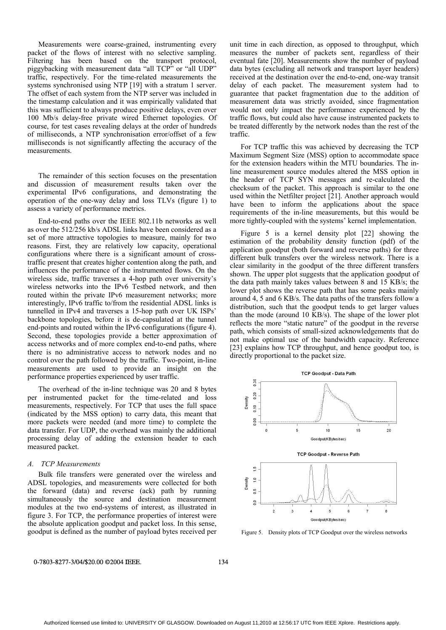Measurements were coarse-grained, instrumenting every packet of the flows of interest with no selective sampling. Filtering has been based on the transport protocol, piggybacking with measurement data "all TCP" or "all UDP" traffic, respectively. For the time-related measurements the systems synchronised using NTP [19] with a stratum 1 server. The offset of each system from the NTP server was included in the timestamp calculation and it was empirically validated that this was sufficient to always produce positive delays, even over 100 Mb/s delay-free private wired Ethernet topologies. Of course, for test cases revealing delays at the order of hundreds of milliseconds, a NTP synchronisation error/offset of a few milliseconds is not significantly affecting the accuracy of the measurements.

The remainder of this section focuses on the presentation and discussion of measurement results taken over the experimental IPv6 configurations, and demonstrating the operation of the one-way delay and loss TLVs (figure 1) to assess a variety of performance metrics.

End-to-end paths over the IEEE 802.11b networks as well as over the 512/256 kb/s ADSL links have been considered as a set of more attractive topologies to measure, mainly for two reasons. First, they are relatively low capacity, operational configurations where there is a significant amount of crosstraffic present that creates higher contention along the path, and influences the performance of the instrumented flows. On the wireless side, traffic traverses a 4-hop path over university's wireless networks into the IPv6 Testbed network, and then routed within the private IPv6 measurement networks; more interestingly, IPv6 traffic to/from the residential ADSL links is tunnelled in IPv4 and traverses a 15-hop path over UK ISPs' backbone topologies, before it is de-capsulated at the tunnel end-points and routed within the IPv6 configurations (figure 4). Second, these topologies provide a better approximation of access networks and of more complex end-to-end paths, where there is no administrative access to network nodes and no control over the path followed by the traffic. Two-point, in-line measurements are used to provide an insight on the performance properties experienced by user traffic.

The overhead of the in-line technique was 20 and 8 bytes per instrumented packet for the time-related and loss measurements, respectively. For TCP that uses the full space (indicated by the MSS option) to carry data, this meant that more packets were needed (and more time) to complete the data transfer. For UDP, the overhead was mainly the additional processing delay of adding the extension header to each measured packet.

## *A. TCP Measurements*

Bulk file transfers were generated over the wireless and ADSL topologies, and measurements were collected for both the forward (data) and reverse (ack) path by running simultaneously the source and destination measurement modules at the two end-systems of interest, as illustrated in figure 3. For TCP, the performance properties of interest were the absolute application goodput and packet loss. In this sense, goodput is defined as the number of payload bytes received per unit time in each direction, as opposed to throughput, which measures the number of packets sent, regardless of their eventual fate [20]. Measurements show the number of payload data bytes (excluding all network and transport layer headers) received at the destination over the end-to-end, one-way transit delay of each packet. The measurement system had to guarantee that packet fragmentation due to the addition of measurement data was strictly avoided, since fragmentation would not only impact the performance experienced by the traffic flows, but could also have cause instrumented packets to be treated differently by the network nodes than the rest of the traffic.

For TCP traffic this was achieved by decreasing the TCP Maximum Segment Size (MSS) option to accommodate space for the extension headers within the MTU boundaries. The inline measurement source modules altered the MSS option in the header of TCP SYN messages and re-calculated the checksum of the packet. This approach is similar to the one used within the Netfilter project [21]. Another approach would have been to inform the applications about the space requirements of the in-line measurements, but this would be more tightly-coupled with the systems' kernel implementation.

Figure 5 is a kernel density plot [22] showing the estimation of the probability density function (pdf) of the application goodput (both forward and reverse paths) for three different bulk transfers over the wireless network. There is a clear similarity in the goodput of the three different transfers shown. The upper plot suggests that the application goodput of the data path mainly takes values between 8 and 15 KB/s; the lower plot shows the reverse path that has some peaks mainly around 4, 5 and 6 KB/s. The data paths of the transfers follow a distribution, such that the goodput tends to get larger values than the mode (around 10 KB/s). The shape of the lower plot reflects the more "static nature" of the goodput in the reverse path, which consists of small-sized acknowledgements that do not make optimal use of the bandwidth capacity. Reference [23] explains how TCP throughput, and hence goodput too, is directly proportional to the packet size.



Figure 5. Density plots of TCP Goodput over the wireless networks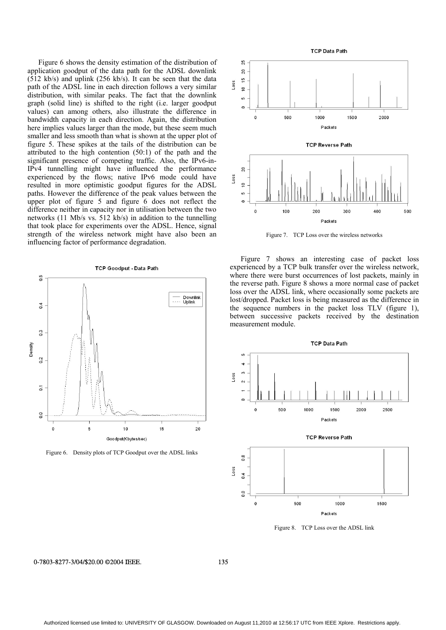Figure 6 shows the density estimation of the distribution of application goodput of the data path for the ADSL downlink (512 kb/s) and uplink (256 kb/s). It can be seen that the data path of the ADSL line in each direction follows a very similar distribution, with similar peaks. The fact that the downlink graph (solid line) is shifted to the right (i.e. larger goodput values) can among others, also illustrate the difference in bandwidth capacity in each direction. Again, the distribution here implies values larger than the mode, but these seem much smaller and less smooth than what is shown at the upper plot of figure 5. These spikes at the tails of the distribution can be attributed to the high contention (50:1) of the path and the significant presence of competing traffic. Also, the IPv6-in-IPv4 tunnelling might have influenced the performance experienced by the flows; native IPv6 mode could have resulted in more optimistic goodput figures for the ADSL paths. However the difference of the peak values between the upper plot of figure 5 and figure 6 does not reflect the difference neither in capacity nor in utilisation between the two networks (11 Mb/s vs. 512 kb/s) in addition to the tunnelling that took place for experiments over the ADSL. Hence, signal strength of the wireless network might have also been an influencing factor of performance degradation.



Figure 6. Density plots of TCP Goodput over the ADSL links



Figure 7. TCP Loss over the wireless networks

Figure 7 shows an interesting case of packet loss experienced by a TCP bulk transfer over the wireless network, where there were burst occurrences of lost packets, mainly in the reverse path. Figure 8 shows a more normal case of packet loss over the ADSL link, where occasionally some packets are lost/dropped. Packet loss is being measured as the difference in the sequence numbers in the packet loss TLV (figure 1), between successive packets received by the destination measurement module.



Figure 8. TCP Loss over the ADSL link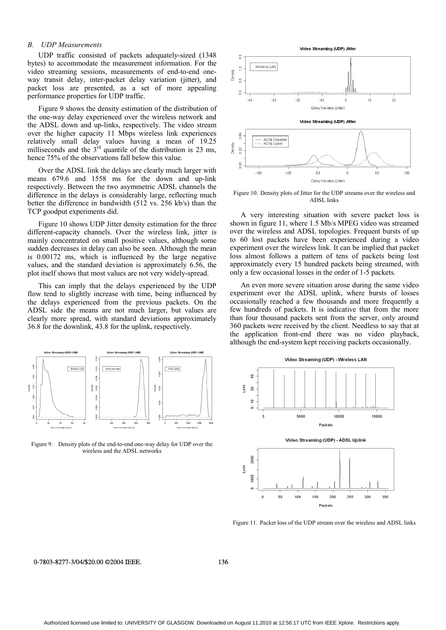# *B. UDP Measurements*

UDP traffic consisted of packets adequately-sized (1348 bytes) to accommodate the measurement information. For the video streaming sessions, measurements of end-to-end oneway transit delay, inter-packet delay variation (jitter), and packet loss are presented, as a set of more appealing performance properties for UDP traffic.

Figure 9 shows the density estimation of the distribution of the one-way delay experienced over the wireless network and the ADSL down and up-links, respectively. The video stream over the higher capacity 11 Mbps wireless link experiences relatively small delay values having a mean of 19.25 milliseconds and the  $3<sup>rd</sup>$  quantile of the distribution is 23 ms, hence 75% of the observations fall below this value.

Over the ADSL link the delays are clearly much larger with means 679.6 and 1558 ms for the down and up-link respectively. Between the two asymmetric ADSL channels the difference in the delays is considerably large, reflecting much better the difference in bandwidth (512 vs. 256 kb/s) than the TCP goodput experiments did.

Figure 10 shows UDP Jitter density estimation for the three different-capacity channels. Over the wireless link, jitter is mainly concentrated on small positive values, although some sudden decreases in delay can also be seen. Although the mean is 0.00172 ms, which is influenced by the large negative values, and the standard deviation is approximately 6.56, the plot itself shows that most values are not very widely-spread.

This can imply that the delays experienced by the UDP flow tend to slightly increase with time, being influenced by the delays experienced from the previous packets. On the ADSL side the means are not much larger, but values are clearly more spread, with standard deviations approximately 36.8 for the downlink, 43.8 for the uplink, respectively.



Figure 9. Density plots of the end-to-end one-way delay for UDP over the wireless and the ADSL networks



Figure 10. Density plots of Jitter for the UDP streams over the wireless and ADSL links

A very interesting situation with severe packet loss is shown in figure 11, where 1.5 Mb/s MPEG video was streamed over the wireless and ADSL topologies. Frequent bursts of up to 60 lost packets have been experienced during a video experiment over the wireless link. It can be implied that packet loss almost follows a pattern of tens of packets being lost approximately every 15 hundred packets being streamed, with only a few occasional losses in the order of 1-5 packets.

An even more severe situation arose during the same video experiment over the ADSL uplink, where bursts of losses occasionally reached a few thousands and more frequently a few hundreds of packets. It is indicative that from the more than four thousand packets sent from the server, only around 360 packets were received by the client. Needless to say that at the application front-end there was no video playback, although the end-system kept receiving packets occasionally.





Figure 11. Packet loss of the UDP stream over the wireless and ADSL links